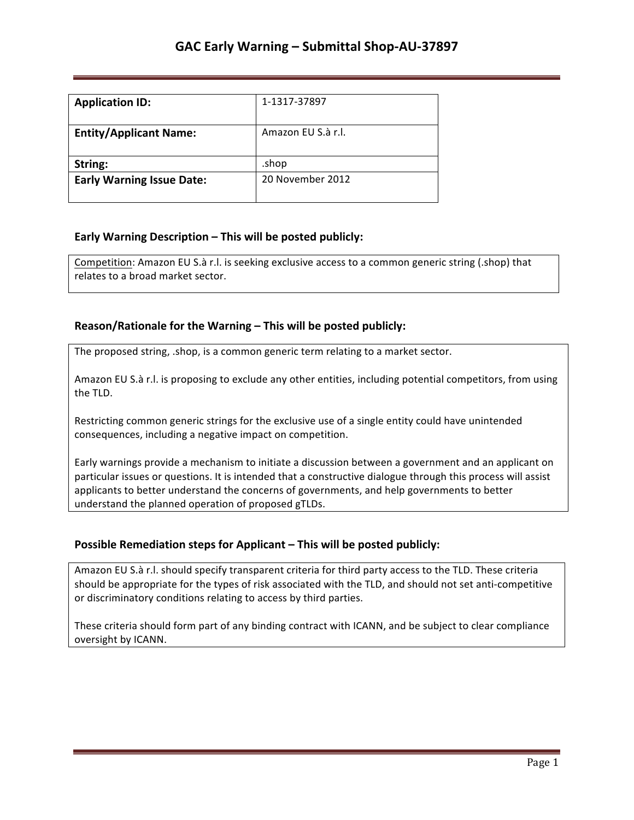| <b>Application ID:</b>           | 1-1317-37897       |
|----------------------------------|--------------------|
| <b>Entity/Applicant Name:</b>    | Amazon EU S.à r.l. |
| String:                          | .shop              |
| <b>Early Warning Issue Date:</b> | 20 November 2012   |

## **Early Warning Description – This will be posted publicly:**

Competition: Amazon EU S.à r.l. is seeking exclusive access to a common generic string (.shop) that relates to a broad market sector.

## **Reason/Rationale for the Warning – This will be posted publicly:**

The proposed string, .shop, is a common generic term relating to a market sector.

Amazon EU S.à r.l. is proposing to exclude any other entities, including potential competitors, from using the TLD.

Restricting common generic strings for the exclusive use of a single entity could have unintended consequences, including a negative impact on competition.

Early warnings provide a mechanism to initiate a discussion between a government and an applicant on particular issues or questions. It is intended that a constructive dialogue through this process will assist applicants to better understand the concerns of governments, and help governments to better understand the planned operation of proposed gTLDs.

### **Possible Remediation steps for Applicant – This will be posted publicly:**

Amazon EU S.à r.l. should specify transparent criteria for third party access to the TLD. These criteria should be appropriate for the types of risk associated with the TLD, and should not set anti-competitive or discriminatory conditions relating to access by third parties.

These criteria should form part of any binding contract with ICANN, and be subject to clear compliance oversight by ICANN.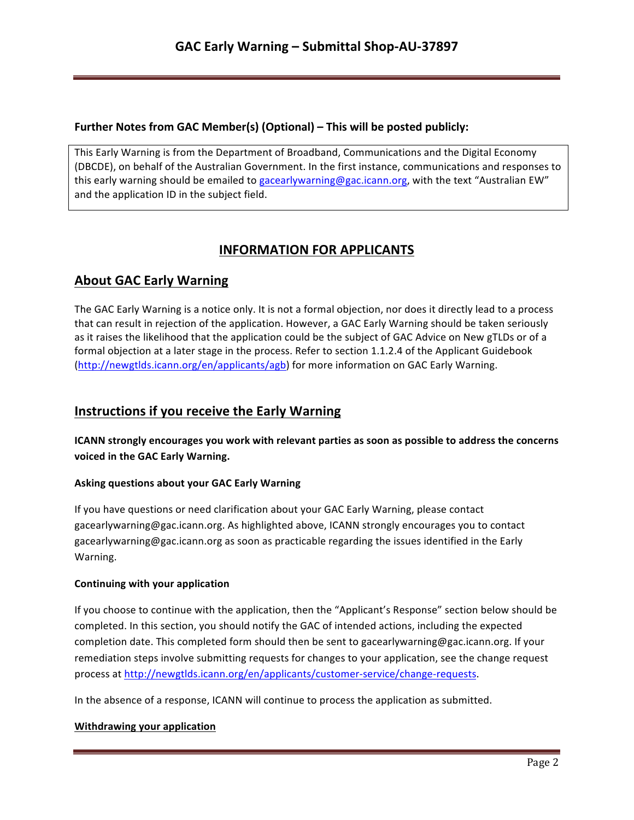### **Further Notes from GAC Member(s) (Optional) – This will be posted publicly:**

This Early Warning is from the Department of Broadband, Communications and the Digital Economy (DBCDE), on behalf of the Australian Government. In the first instance, communications and responses to this early warning should be emailed to gacearlywarning@gac.icann.org, with the text "Australian EW" and the application ID in the subject field.

# **INFORMATION FOR APPLICANTS**

## **About GAC Early Warning**

The GAC Early Warning is a notice only. It is not a formal objection, nor does it directly lead to a process that can result in rejection of the application. However, a GAC Early Warning should be taken seriously as it raises the likelihood that the application could be the subject of GAC Advice on New gTLDs or of a formal objection at a later stage in the process. Refer to section 1.1.2.4 of the Applicant Guidebook (http://newgtlds.icann.org/en/applicants/agb) for more information on GAC Early Warning.

## **Instructions if you receive the Early Warning**

**ICANN** strongly encourages you work with relevant parties as soon as possible to address the concerns voiced in the GAC Early Warning.

### **Asking questions about your GAC Early Warning**

If you have questions or need clarification about your GAC Early Warning, please contact gacearlywarning@gac.icann.org. As highlighted above, ICANN strongly encourages you to contact gacearlywarning@gac.icann.org as soon as practicable regarding the issues identified in the Early Warning. 

### **Continuing with your application**

If you choose to continue with the application, then the "Applicant's Response" section below should be completed. In this section, you should notify the GAC of intended actions, including the expected completion date. This completed form should then be sent to gacearlywarning@gac.icann.org. If your remediation steps involve submitting requests for changes to your application, see the change request process at http://newgtlds.icann.org/en/applicants/customer-service/change-requests.

In the absence of a response, ICANN will continue to process the application as submitted.

### **Withdrawing your application**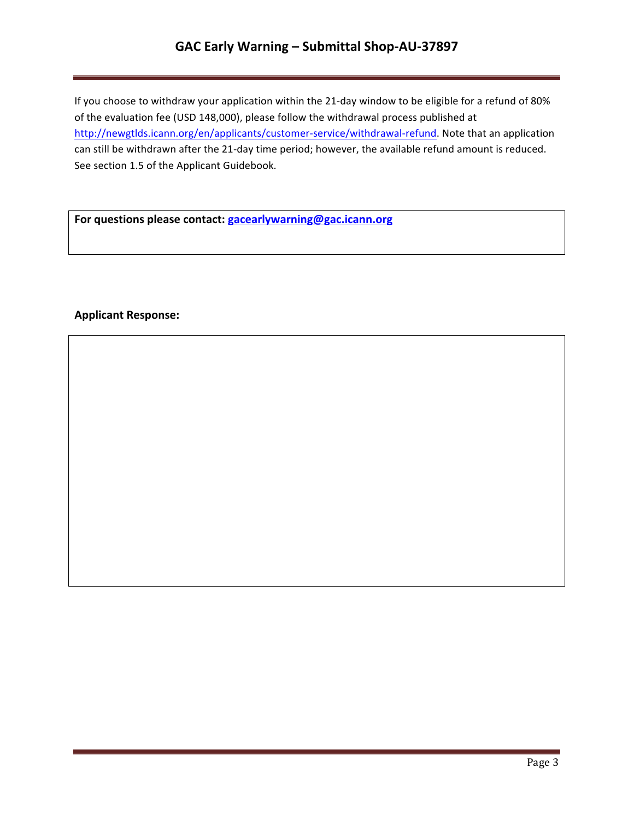# **GAC Early Warning – Submittal Shop-AU-37897**

If you choose to withdraw your application within the 21-day window to be eligible for a refund of 80% of the evaluation fee (USD 148,000), please follow the withdrawal process published at http://newgtlds.icann.org/en/applicants/customer-service/withdrawal-refund. Note that an application can still be withdrawn after the 21-day time period; however, the available refund amount is reduced. See section 1.5 of the Applicant Guidebook.

For questions please contact: **gacearlywarning@gac.icann.org** 

### **Applicant Response:**